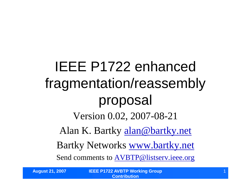IEEE P1722 enhanced fragmentation/reassembly proposal Version 0.02, 2007-08-21 Alan K. Bartky alan@bartky.net Bartky Networks www.bartky.net Send comments to AVBTP@listserv.ieee.org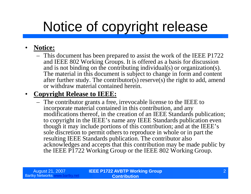# Notice of copyright release

#### • **Notice:**

– This document has been prepared to assist the work of the IEEE P1722 and IEEE 802 Working Groups. It is offered as a basis for discussion and is not binding on the contributing individual(s) or organization(s). The material in this document is subject to change in form and content after further study. The contributor(s) reserve(s) the right to add, amend or withdraw material contained herein.

#### • **Copyright Release to IEEE:**

– The contributor grants a free, irrevocable license to the IEEE to incorporate material contained in this contribution, and any modifications thereof, in the creation of an IEEE Standards publication; to copyright in the IEEE's name any IEEE Standards publication even though it may include portions of this contribution; and at the IEEE's sole discretion to permit others to reproduce in whole or in part the resulting IEEE Standards publication. The contributor also acknowledges and accepts that this contribution may be made public by the IEEE P1722 Working Group or the IEEE 802 Working Group.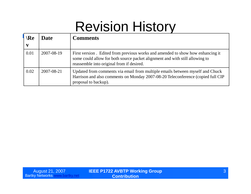## Revision History

| $\Re$<br>V | Date       | <b>Comments</b>                                                                                                                                                                                             |
|------------|------------|-------------------------------------------------------------------------------------------------------------------------------------------------------------------------------------------------------------|
| 0.01       | 2007-08-19 | First version. Edited from previous works and amended to show how enhancing it<br>some could allow for both source packet alignment and with still allowing to<br>reassemble into original from if desired. |
| 0.02       | 2007-08-21 | Updated from comments via email from multiple emails between myself and Chuck<br>Harrison and also comments on Monday 2007-08-20 Teleconference (copied full CIP<br>proposal to backup).                    |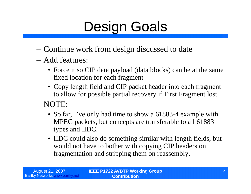# Design Goals

- –Continue work from design discussed to date
- –Add features:
	- Force it so CIP data payload (data blocks) can be at the same fixed location for each fragment
	- Copy length field and CIP packet header into each fragment to allow for possible partial recovery if First Fragment lost.
- –NOTE:
	- So far, I've only had time to show a 61883-4 example with MPEG packets, but concepts are transferable to all 61883 types and IIDC.
	- IIDC could also do something similar with length fields, but would not have to bother with copying CIP headers on fragmentation and stripping them on reassembly.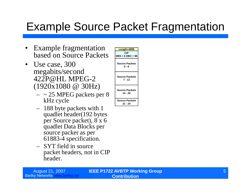- Example fragmentation based on Source Packets
- Use case, 300 megabits/second 422P@HL MPEG-2 (1920x1080 @ 30Hz)
	- $-$  ~ 25 MPEG packets per 8 kHz cycle
	- 188 byte packets with 1 quadlet header(192 bytes per Source packet), 8 x 6 quadlet Data Blocks per source packer as per 61883-4 specification.
	- SYT field in source packet headers, not in CIP header.

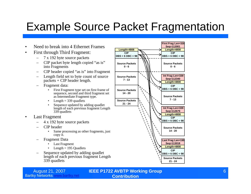- Need to break into 4 Ethernet Frames
- First through Third Fragment:
	- 7 x 192 byte source packets
	- CIP packet byte length copied "as is" into Fragments
	- CIP header copied "as is"into Fragment
	- Length field set to byte count of source  $packets + CIP header length.$
	- Fragment data:
		- First Fragment type set on first frame of sequence, second and third fragment set as Intermediate Fragment type.
		- Length  $=$  339 quadlets
		- Sequence updated by adding quadlet length of each previous fragment Length 339 quadlets
- Last Fragment
	- 4 x 192 byte source packets
	- CIP header
		- Same processing as other fragments, just copy it.
	- Fragment Data
		- Last Fragment
		- Length  $= 195$  Quadlets
	- Sequence updated by adding quadlet length of each previous fragment Length 339 quadlets



Bartky Networks www.bartky.net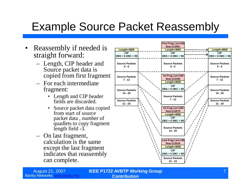#### Example Source Packet Reassembly

- Reassembly if needed is  $\frac{1}{|{\text{Length}}|=4808}$ straight forward:
	- Length, CIP header and Source packet data is copied from first fragment
	- For each intermediate fragment:
		- Length and CIP header fields are discarded.
		- Source packet data copied from start of source packet data , number of quadlets to copy fragment length field -3.
	- On last fragment, calculation is the same except the last fragment indicates that reassembly can complete.



Bartky Networks www.bartky.net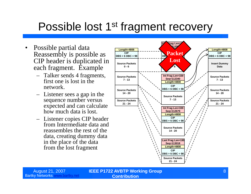#### Possible lost 1<sup>st</sup> fragment recovery

- Possible partial data Reassembly is possible as CIP header is duplicated in each fragment. Example
	- Talker sends 4 fragments, first one is lost in the network.
	- Listener sees a gap in the sequence number versus expected and can calculate how much data is lost.
	- Listener copies CIP header from Intermediate data and reassembles the rest of the data, creating dummy data in the place of the data from the lost fragment



Bartky Networks www.bartky.net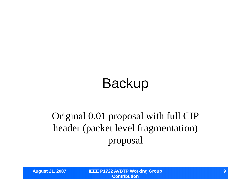# Backup

#### Original 0.01 proposal with full CIP header (packet level fragmentation) proposal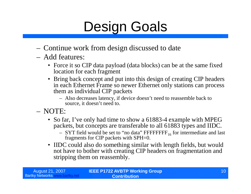# Design Goals

- Continue work from design discussed to date
- Add features:
	- Force it so CIP data payload (data blocks) can be at the same fixed location for each fragment
	- Bring back concept and put into this design of creating CIP headers in each Ethernet Frame so newer Ethernet only stations can process them as individual CIP packets
		- Also decreases latency, if device doesn't need to reassemble back to source, it doesn't need to.
- NOTE:
	- So far, I've only had time to show a 61883-4 example with MPEG packets, but concepts are transferable to all 61883 types and IIDC.
		- $-$  SYT field would be set to "no data" FFFFFFFF<sub>16</sub> for intermediate and last fragments for CIP packets with SPH=0.
	- IIDC could also do something similar with length fields, but would not have to bother with creating CIP headers on fragmentation and stripping them on reassembly.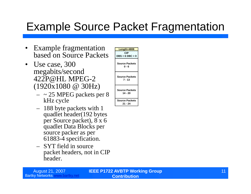- Example fragmentation based on Source Packets
- Use case, 300 megabits/second 422P@HL MPEG-2 (1920x1080 @ 30Hz)
	- $-$  ~ 25 MPEG packets per 8 kHz cycle
	- 188 byte packets with 1 quadlet header(192 bytes per Source packet), 8 x 6 quadlet Data Blocks per source packer as per 61883-4 specification.
	- SYT field in source packet headers, not in CIP header.

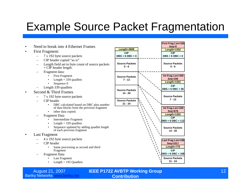- Need to break into 4 Ethernet Frames
- First Fragment:
	- 7 x 192 byte source packets
	- CIP header copied "as is"
	- Length field set to byte count of source packets  $+$  CIP header length.
	- Fragment data:
		- First Fragment
		- Length  $=$  339 quadlets
		- Sequence 0
	- Length 339 quadlets
- Second & Third Frames
	- 7 x 192 byte source packets
	- CIP header
		- DBC calculated based on DBC plus number of data blocks from the previous fragment
		- other data copied.
	- Fragment Data
		- Intermediate Fragment
		- Length  $=$  339 quadlets
		- Sequence updated by adding quadlet length of each previous fragment
- Last Fragment
	- 4 x 192 byte source packets
	- CIP header
		- Same processing as second and third Fragment
	- Fragment Data
		- Last Fragment
		- Length  $= 195$  Quadlets